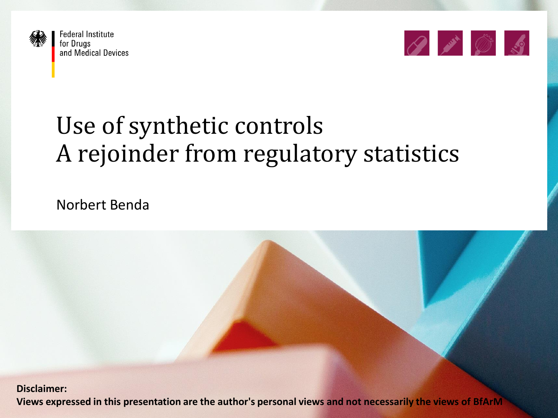

**Federal Institute** for Drugs and Medical Devices



# Use of synthetic controls A rejoinder from regulatory statistics

Norbert Benda

Views expressed in this presentation are the author's personal views and not necessarily the views of BfArM**MA Disclaimer:**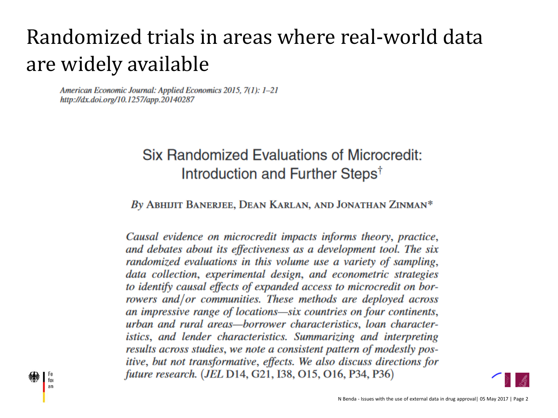### Randomized trials in areas where real-world data are widely available

American Economic Journal: Applied Economics 2015, 7(1): 1-21 http://dx.doi.org/10.1257/app.20140287

for an

#### **Six Randomized Evaluations of Microcredit:** Introduction and Further Steps<sup>†</sup>

By ABHIJIT BANERJEE, DEAN KARLAN, AND JONATHAN ZINMAN\*

Causal evidence on microcredit impacts informs theory, practice, and debates about its effectiveness as a development tool. The six randomized evaluations in this volume use a variety of sampling, data collection, experimental design, and econometric strategies to identify causal effects of expanded access to microcredit on borrowers and/or communities. These methods are deployed across an impressive range of locations—six countries on four continents, urban and rural areas—borrower characteristics, loan characteristics, and lender characteristics. Summarizing and interpreting results across studies, we note a consistent pattern of modestly positive, but not transformative, effects. We also discuss directions for future research. (JEL D14, G21, I38, O15, O16, P34, P36)

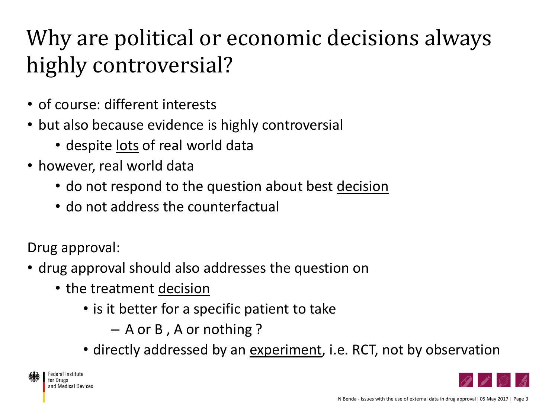# Why are political or economic decisions always highly controversial?

- of course: different interests
- but also because evidence is highly controversial
	- despite lots of real world data
- however, real world data
	- do not respond to the question about best decision
	- do not address the counterfactual

Drug approval:

- drug approval should also addresses the question on
	- the treatment decision
		- is it better for a specific patient to take

– A or B , A or nothing ?

• directly addressed by an experiment, i.e. RCT, not by observation

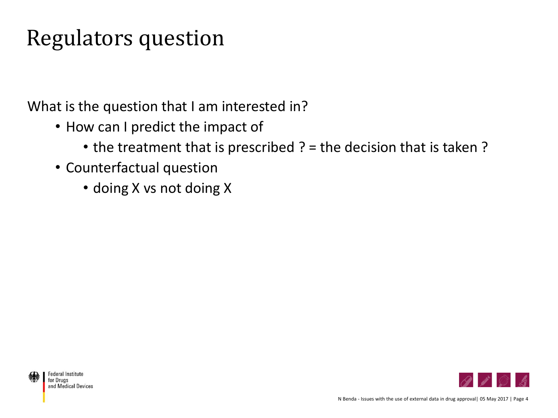### Regulators question

What is the question that I am interested in?

- How can I predict the impact of
	- the treatment that is prescribed ? = the decision that is taken ?
- Counterfactual question
	- doing X vs not doing X

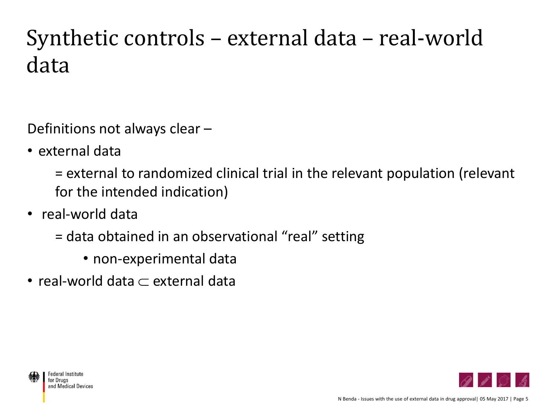# Synthetic controls – external data – real-world data

Definitions not always clear –

• external data

= external to randomized clinical trial in the relevant population (relevant for the intended indication)

- real-world data
	- = data obtained in an observational "real" setting
		- non-experimental data
- real-world data  $\subset$  external data



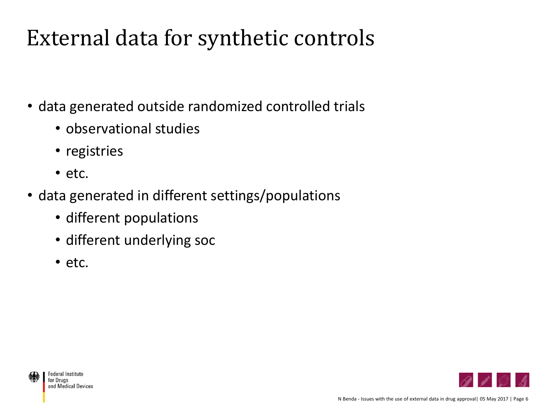### External data for synthetic controls

- data generated outside randomized controlled trials
	- observational studies
	- registries
	- etc.
- data generated in different settings/populations
	- different populations
	- different underlying soc
	- etc.





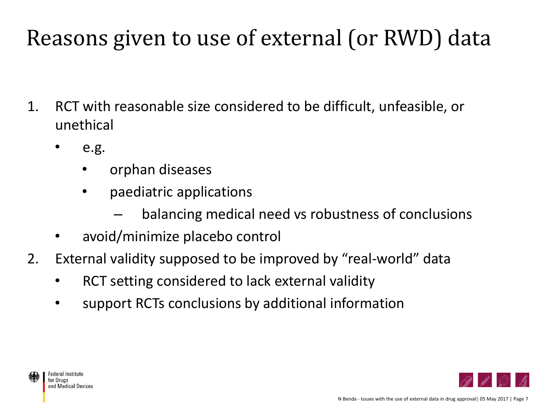# Reasons given to use of external (or RWD) data

- 1. RCT with reasonable size considered to be difficult, unfeasible, or unethical
	- e.g.
		- orphan diseases
		- paediatric applications
			- balancing medical need vs robustness of conclusions
	- avoid/minimize placebo control
- 2. External validity supposed to be improved by "real-world" data
	- RCT setting considered to lack external validity
	- support RCTs conclusions by additional information



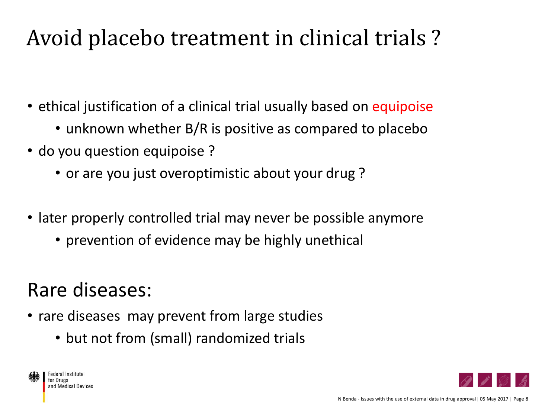## Avoid placebo treatment in clinical trials ?

- ethical justification of a clinical trial usually based on equipoise
	- unknown whether B/R is positive as compared to placebo
- do you question equipoise ?
	- or are you just overoptimistic about your drug?
- later properly controlled trial may never be possible anymore
	- prevention of evidence may be highly unethical

#### Rare diseases:

- rare diseases may prevent from large studies
	- but not from (small) randomized trials



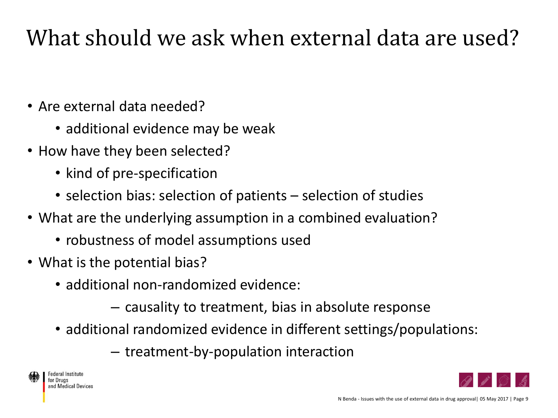## What should we ask when external data are used?

- Are external data needed?
	- additional evidence may be weak
- How have they been selected?
	- kind of pre-specification
	- selection bias: selection of patients selection of studies
- What are the underlying assumption in a combined evaluation?
	- robustness of model assumptions used
- What is the potential bias?
	- additional non-randomized evidence:
		- causality to treatment, bias in absolute response
	- additional randomized evidence in different settings/populations:
		- treatment-by-population interaction



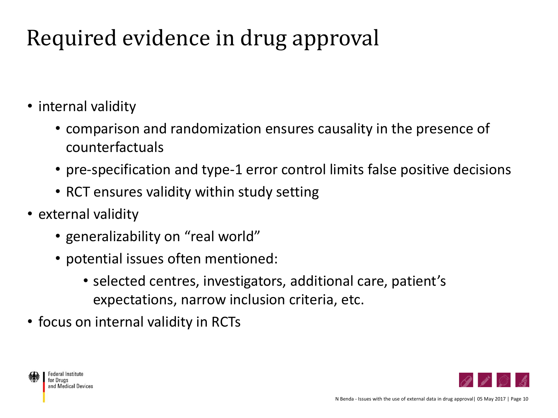# Required evidence in drug approval

- internal validity
	- comparison and randomization ensures causality in the presence of counterfactuals
	- pre-specification and type-1 error control limits false positive decisions
	- RCT ensures validity within study setting
- external validity
	- generalizability on "real world"
	- potential issues often mentioned:
		- selected centres, investigators, additional care, patient's expectations, narrow inclusion criteria, etc.
- focus on internal validity in RCTs



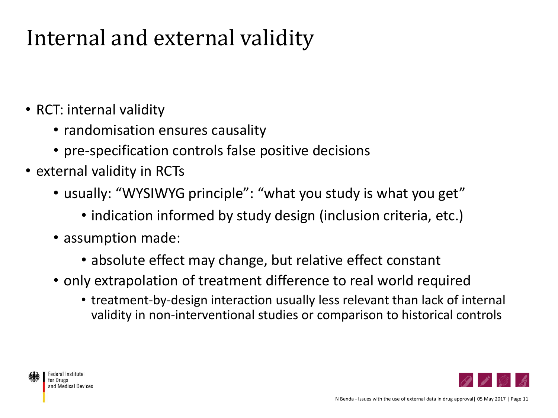## Internal and external validity

- RCT: internal validity
	- randomisation ensures causality
	- pre-specification controls false positive decisions
- external validity in RCTs
	- usually: "WYSIWYG principle": "what you study is what you get"
		- indication informed by study design (inclusion criteria, etc.)
	- assumption made:
		- absolute effect may change, but relative effect constant
	- only extrapolation of treatment difference to real world required
		- treatment-by-design interaction usually less relevant than lack of internal validity in non-interventional studies or comparison to historical controls



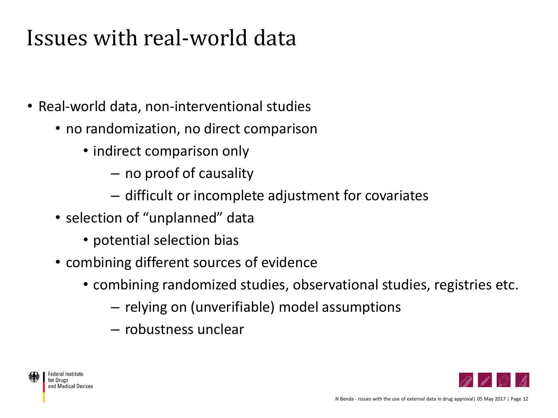### Issues with real-world data

- Real-world data, non-interventional studies
	- no randomization, no direct comparison
		- indirect comparison only
			- no proof of causality
			- difficult or incomplete adjustment for covariates
	- selection of "unplanned" data
		- potential selection bias
	- combining different sources of evidence
		- combining randomized studies, observational studies, registries etc.
			- relying on (unverifiable) model assumptions
			- robustness unclear



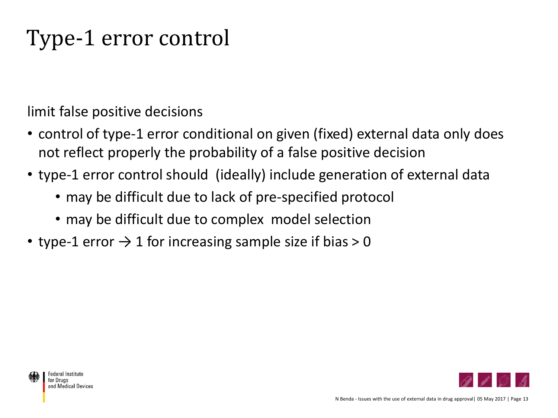# Type-1 error control

limit false positive decisions

- control of type-1 error conditional on given (fixed) external data only does not reflect properly the probability of a false positive decision
- type-1 error control should (ideally) include generation of external data
	- may be difficult due to lack of pre-specified protocol
	- may be difficult due to complex model selection
- type-1 error  $\rightarrow$  1 for increasing sample size if bias  $>$  0

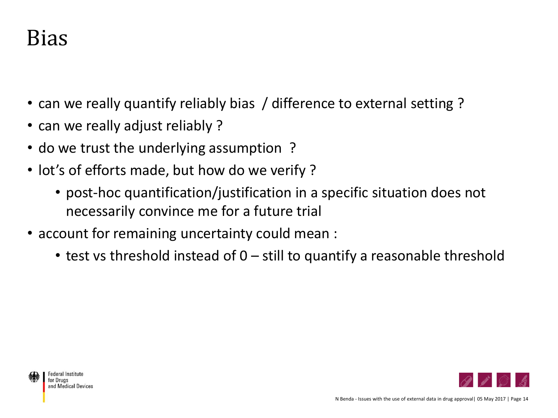### Bias

- can we really quantify reliably bias / difference to external setting?
- can we really adjust reliably?
- do we trust the underlying assumption?
- lot's of efforts made, but how do we verify?
	- post-hoc quantification/justification in a specific situation does not necessarily convince me for a future trial
- account for remaining uncertainty could mean :
	- test vs threshold instead of 0 still to quantify a reasonable threshold

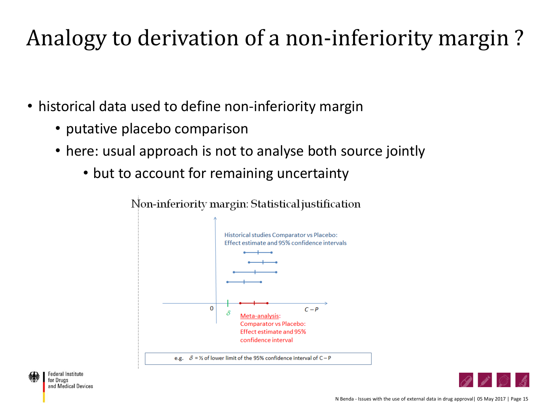# Analogy to derivation of a non-inferiority margin ?

- historical data used to define non-inferiority margin
	- putative placebo comparison
	- here: usual approach is not to analyse both source jointly
		- but to account for remaining uncertainty



**Federal Institute** for Druas and Medical Devices